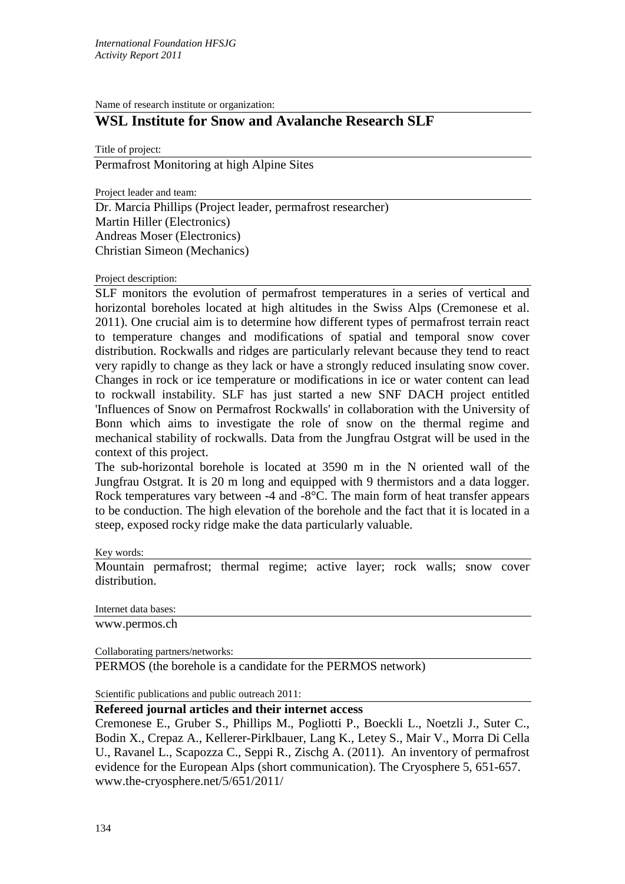Name of research institute or organization:

## **WSL Institute for Snow and Avalanche Research SLF**

Title of project: Permafrost Monitoring at high Alpine Sites

Project leader and team:

Dr. Marcia Phillips (Project leader, permafrost researcher) Martin Hiller (Electronics) Andreas Moser (Electronics) Christian Simeon (Mechanics)

## Project description:

SLF monitors the evolution of permafrost temperatures in a series of vertical and horizontal boreholes located at high altitudes in the Swiss Alps (Cremonese et al. 2011). One crucial aim is to determine how different types of permafrost terrain react to temperature changes and modifications of spatial and temporal snow cover distribution. Rockwalls and ridges are particularly relevant because they tend to react very rapidly to change as they lack or have a strongly reduced insulating snow cover. Changes in rock or ice temperature or modifications in ice or water content can lead to rockwall instability. SLF has just started a new SNF DACH project entitled 'Influences of Snow on Permafrost Rockwalls' in collaboration with the University of Bonn which aims to investigate the role of snow on the thermal regime and mechanical stability of rockwalls. Data from the Jungfrau Ostgrat will be used in the context of this project.

The sub-horizontal borehole is located at 3590 m in the N oriented wall of the Jungfrau Ostgrat. It is 20 m long and equipped with 9 thermistors and a data logger. Rock temperatures vary between -4 and -8°C. The main form of heat transfer appears to be conduction. The high elevation of the borehole and the fact that it is located in a steep, exposed rocky ridge make the data particularly valuable.

## Key words:

Mountain permafrost; thermal regime; active layer; rock walls; snow cover distribution.

Internet data bases:

www.permos.ch

Collaborating partners/networks:

PERMOS (the borehole is a candidate for the PERMOS network)

Scientific publications and public outreach 2011:

## **Refereed journal articles and their internet access**

Cremonese E., Gruber S., Phillips M., Pogliotti P., Boeckli L., Noetzli J., Suter C., Bodin X., Crepaz A., Kellerer-Pirklbauer, Lang K., Letey S., Mair V., Morra Di Cella U., Ravanel L., Scapozza C., Seppi R., Zischg A. (2011). An inventory of permafrost evidence for the European Alps (short communication). The Cryosphere 5, 651-657. www.the-cryosphere.net/5/651/2011/